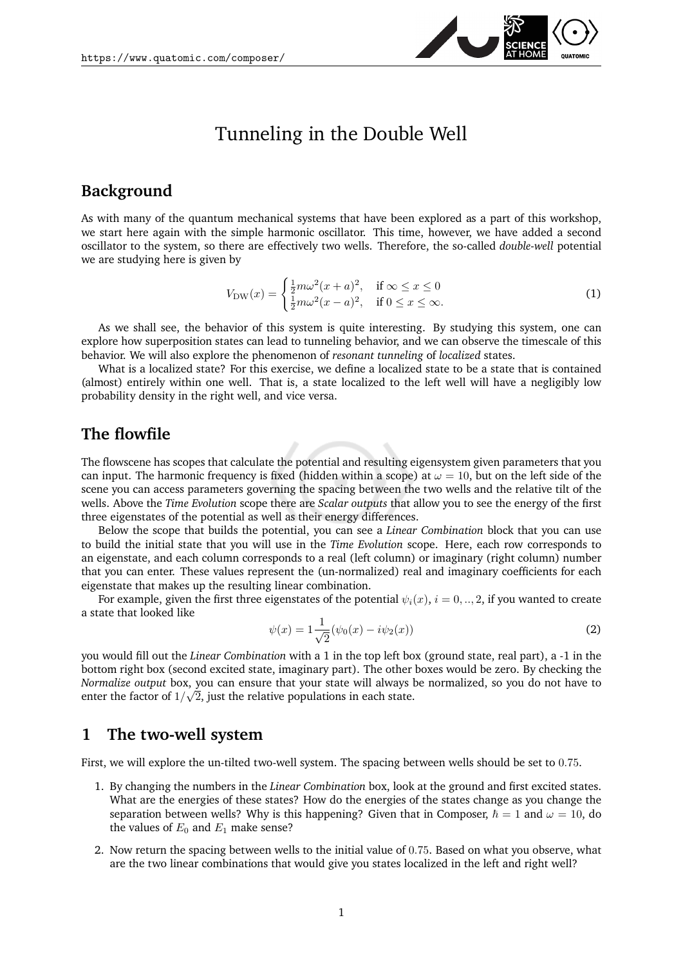

# Tunneling in the Double Well

### **Background**

As with many of the quantum mechanical systems that have been explored as a part of this workshop, we start here again with the simple harmonic oscillator. This time, however, we have added a second oscillator to the system, so there are effectively two wells. Therefore, the so-called *double-well* potential we are studying here is given by

$$
V_{\text{DW}}(x) = \begin{cases} \frac{1}{2}m\omega^2(x+a)^2, & \text{if } \infty \le x \le 0\\ \frac{1}{2}m\omega^2(x-a)^2, & \text{if } 0 \le x \le \infty. \end{cases}
$$
 (1)

As we shall see, the behavior of this system is quite interesting. By studying this system, one can explore how superposition states can lead to tunneling behavior, and we can observe the timescale of this behavior. We will also explore the phenomenon of *resonant tunneling* of *localized* states.

What is a localized state? For this exercise, we define a localized state to be a state that is contained (almost) entirely within one well. That is, a state localized to the left well will have a negligibly low probability density in the right well, and vice versa.

#### **The flowfile**

The flowscene has scopes that calculate the potential and resulting eigensystem given parameters that you can input. The harmonic frequency is fixed (hidden within a scope) at  $\omega = 10$ , but on the left side of the scene you can access parameters governing the spacing between the two wells and the relative tilt of the wells. Above the *Time Evolution* scope there are *Scalar outputs* that allow you to see the energy of the first three eigenstates of the potential as well as their energy differences.

Below the scope that builds the potential, you can see a *Linear Combination* block that you can use to build the initial state that you will use in the *Time Evolution* scope. Here, each row corresponds to an eigenstate, and each column corresponds to a real (left column) or imaginary (right column) number that you can enter. These values represent the (un-normalized) real and imaginary coefficients for each eigenstate that makes up the resulting linear combination.

For example, given the first three eigenstates of the potential  $\psi_i(x)$ ,  $i = 0, ..., 2$ , if you wanted to create a state that looked like

$$
\psi(x) = 1 \frac{1}{\sqrt{2}} (\psi_0(x) - i\psi_2(x))
$$
\n(2)

you would fill out the *Linear Combination* with a 1 in the top left box (ground state, real part), a -1 in the bottom right box (second excited state, imaginary part). The other boxes would be zero. By checking the *Normalize output* box, you can ensure that your state will always be normalized, so you do not have to √ enter the factor of  $1/\sqrt{2}$ , just the relative populations in each state.

#### **1 The two-well system**

First, we will explore the un-tilted two-well system. The spacing between wells should be set to 0.75.

- 1. By changing the numbers in the *Linear Combination* box, look at the ground and first excited states. What are the energies of these states? How do the energies of the states change as you change the separation between wells? Why is this happening? Given that in Composer,  $\hbar = 1$  and  $\omega = 10$ , do the values of  $E_0$  and  $E_1$  make sense?
- 2. Now return the spacing between wells to the initial value of 0.75. Based on what you observe, what are the two linear combinations that would give you states localized in the left and right well?